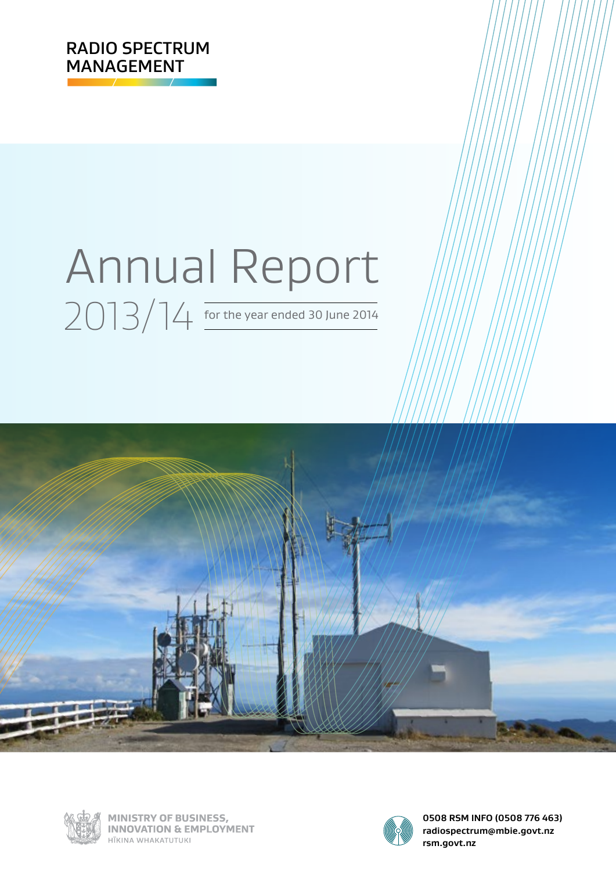# Annual Report 2013/ 14 for the year ended 30 June 2014





**MINISTRY OF BUSINESS, INNOVATION & EMPLOYMENT** HĪKINA WHAKATUTUKI



**0508 RSM INFO (0508 776 463) radiospectrum@mbie.govt.nz rsm.govt.nz**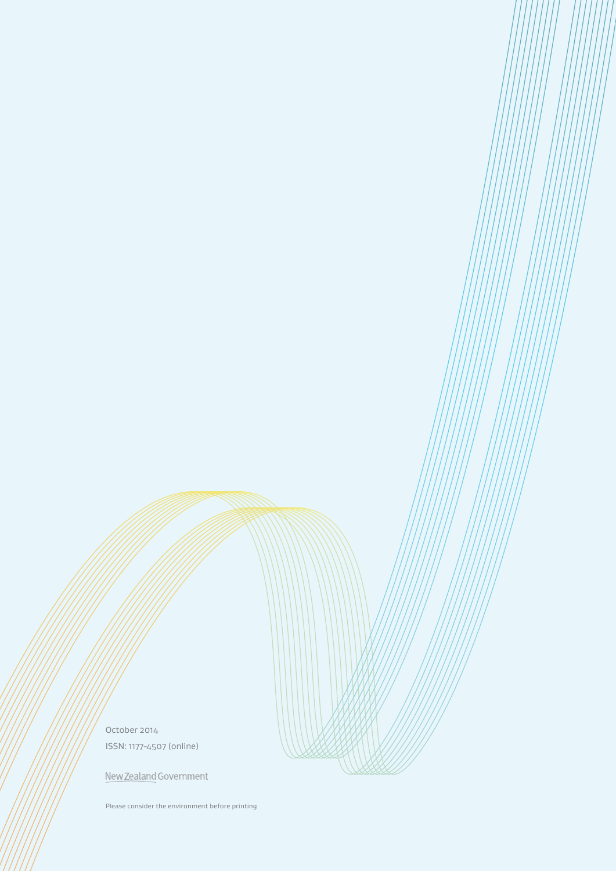October 2014 ISSN: 1177-4507 (online)

New Zealand Government

Please consider the environment before printing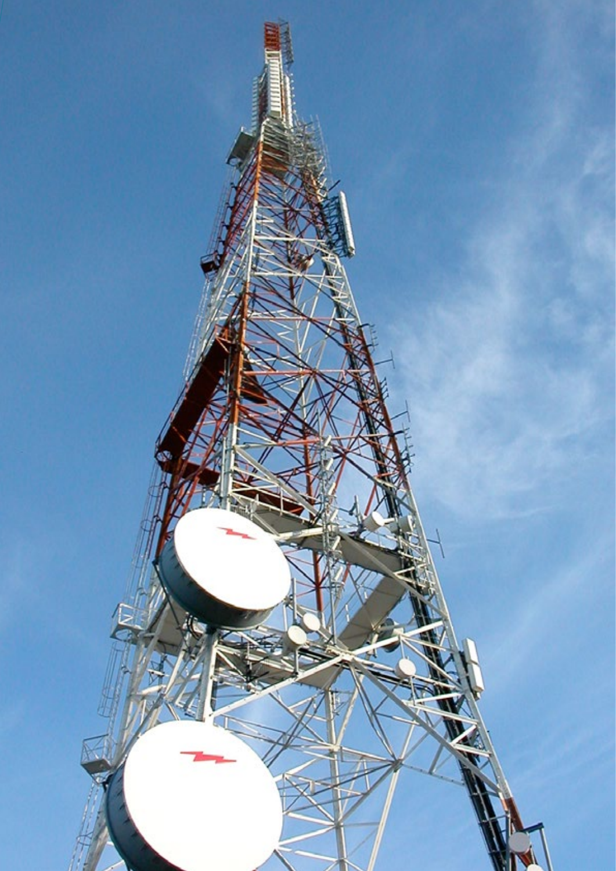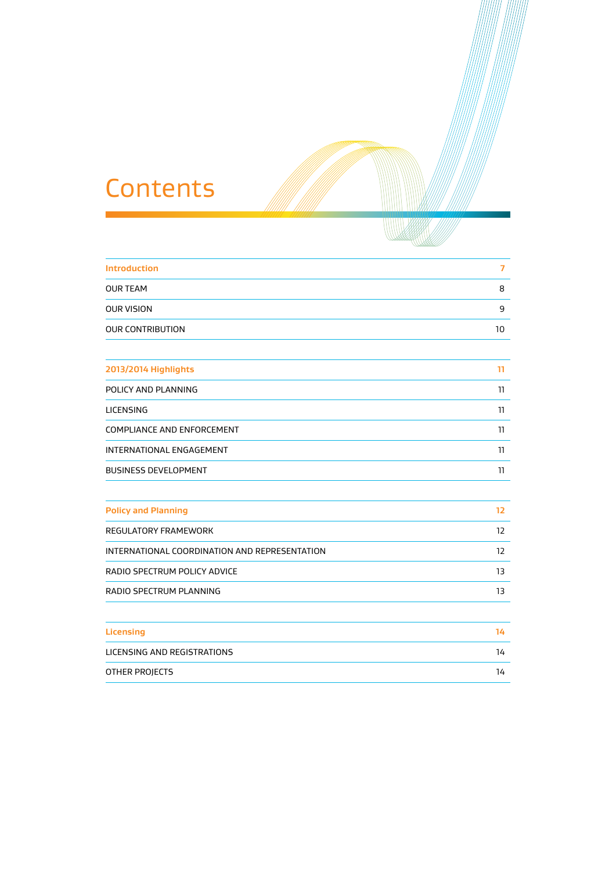# **Contents**

|                                               | \\\\XXXXZZ     |
|-----------------------------------------------|----------------|
| <b>Introduction</b>                           | $\overline{7}$ |
| <b>OUR TEAM</b>                               | 8              |
| <b>OUR VISION</b>                             | 9              |
| <b>OUR CONTRIBUTION</b>                       | 10             |
| 2013/2014 Highlights                          | 11             |
| POLICY AND PLANNING                           | 11             |
| <b>LICENSING</b>                              | 11             |
| COMPLIANCE AND ENFORCEMENT                    | 11             |
| <b>INTERNATIONAL ENGAGEMENT</b>               | 11             |
| <b>BUSINESS DEVELOPMENT</b>                   | 11             |
| <b>Policy and Planning</b>                    | 12             |
| REGULATORY FRAMEWORK                          | 12             |
| INTERNATIONAL COORDINATION AND REPRESENTATION | 12             |
| RADIO SPECTRUM POLICY ADVICE                  | 13             |
| RADIO SPECTRUM PLANNING                       | 13             |
| <b>Licensing</b>                              | 14             |
| <b>LICENSING AND REGISTRATIONS</b>            | 14             |

OTHER PROJECTS and the state of the state of the state of the state of the state of the state of the state of the state of the state of the state of the state of the state of the state of the state of the state of the stat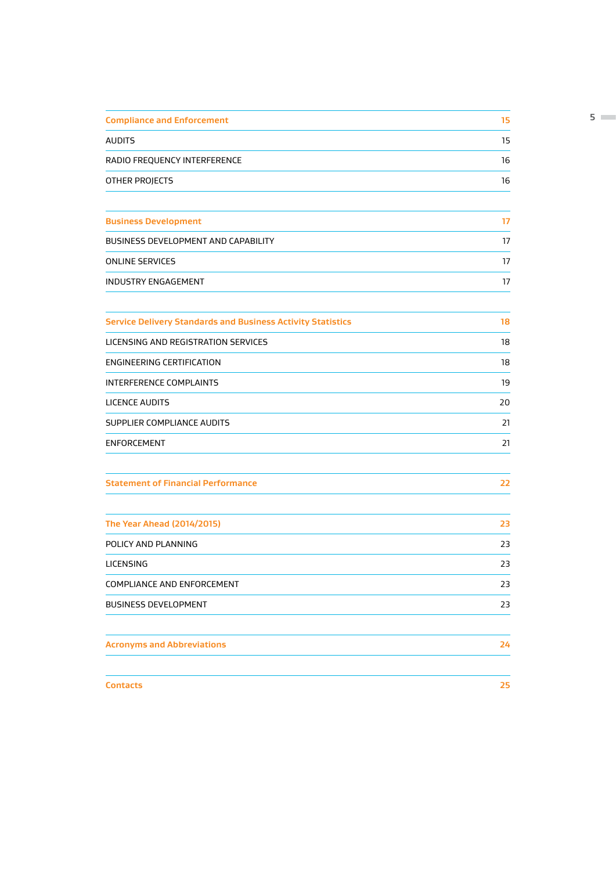| <b>Compliance and Enforcement</b>                                  | 15 |
|--------------------------------------------------------------------|----|
| <b>AUDITS</b>                                                      | 15 |
| RADIO FREQUENCY INTERFERENCE                                       | 16 |
| OTHER PROJECTS                                                     | 16 |
| <b>Business Development</b>                                        | 17 |
| BUSINESS DEVELOPMENT AND CAPABILITY                                | 17 |
| <b>ONLINE SERVICES</b>                                             | 17 |
| INDUSTRY ENGAGEMENT                                                | 17 |
| <b>Service Delivery Standards and Business Activity Statistics</b> | 18 |
| LICENSING AND REGISTRATION SERVICES                                | 18 |
| <b>ENGINEERING CERTIFICATION</b>                                   | 18 |
| <b>INTERFERENCE COMPLAINTS</b>                                     | 19 |
| <b>LICENCE AUDITS</b>                                              | 20 |
| SUPPLIER COMPLIANCE AUDITS                                         | 21 |
| <b>ENFORCEMENT</b>                                                 | 21 |
| <b>Statement of Financial Performance</b>                          | 22 |
| <b>The Year Ahead (2014/2015)</b>                                  | 23 |
| POLICY AND PLANNING                                                | 23 |
| <b>LICENSING</b>                                                   | 23 |
| COMPLIANCE AND ENFORCEMENT                                         | 23 |
| <b>BUSINESS DEVELOPMENT</b>                                        | 23 |
| <b>Acronyms and Abbreviations</b>                                  | 24 |
|                                                                    |    |

**Contacts 25**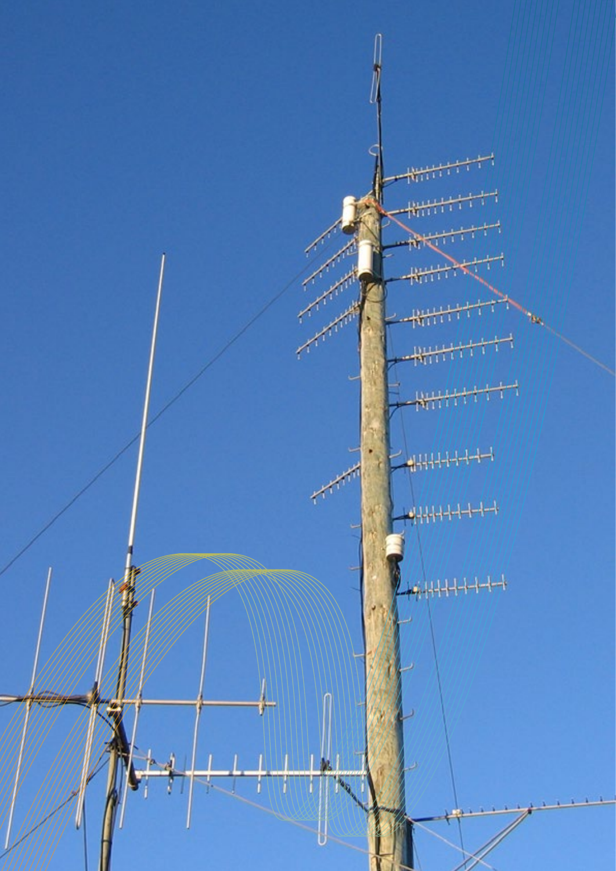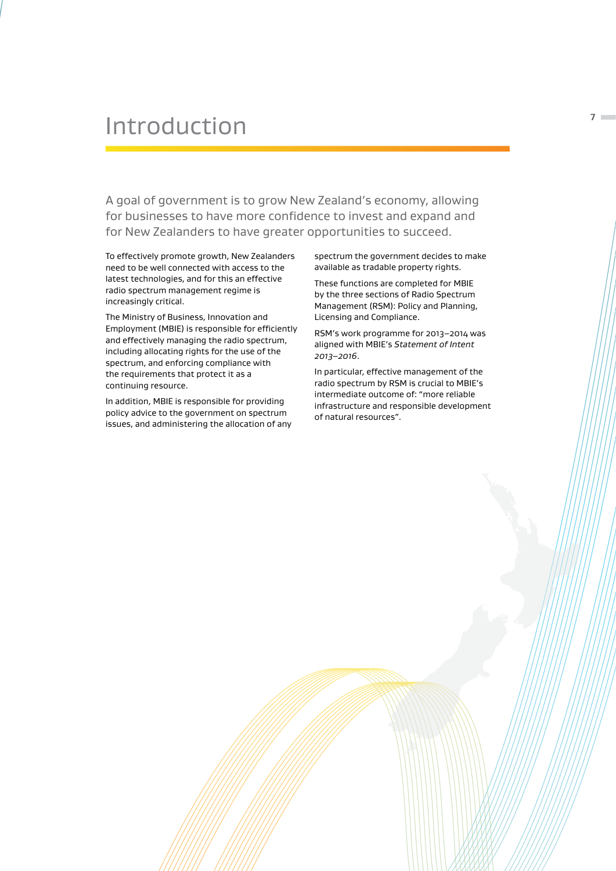# Introduction

A goal of government is to grow New Zealand's economy, allowing for businesses to have more confidence to invest and expand and for New Zealanders to have greater opportunities to succeed.

To effectively promote growth, New Zealanders need to be well connected with access to the latest technologies, and for this an effective radio spectrum management regime is increasingly critical.

The Ministry of Business, Innovation and Employment (MBIE) is responsible for efficiently and effectively managing the radio spectrum, including allocating rights for the use of the spectrum, and enforcing compliance with the requirements that protect it as a continuing resource.

In addition, MBIE is responsible for providing policy advice to the government on spectrum issues, and administering the allocation of any spectrum the government decides to make available as tradable property rights.

**7**

These functions are completed for MBIE by the three sections of Radio Spectrum Management (RSM): Policy and Planning, Licensing and Compliance.

RSM's work programme for 2013–2014 was aligned with MBIE's *Statement of Intent 2013–2016*.

In particular, effective management of the radio spectrum by RSM is crucial to MBIE's intermediate outcome of: "more reliable infrastructure and responsible development of natural resources".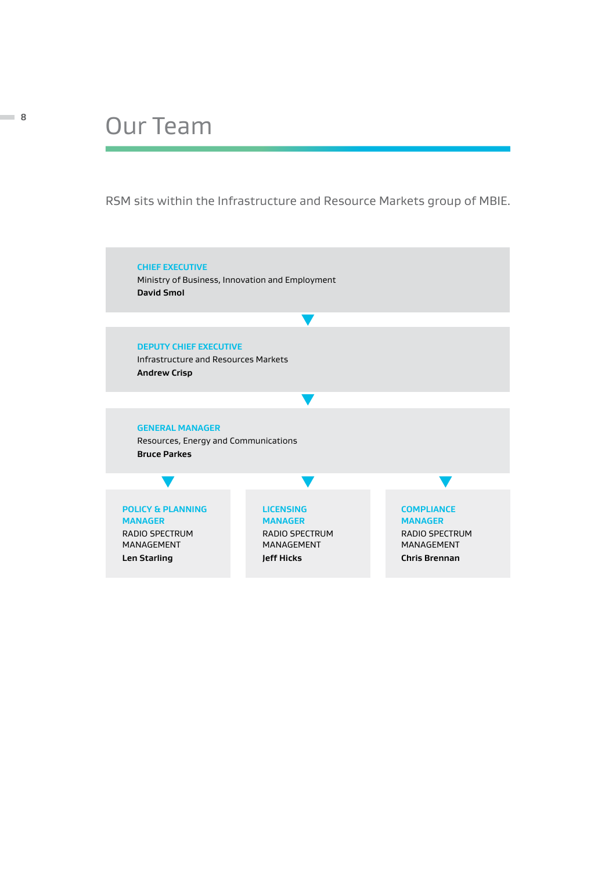# Our Team

RSM sits within the Infrastructure and Resource Markets group of MBIE.

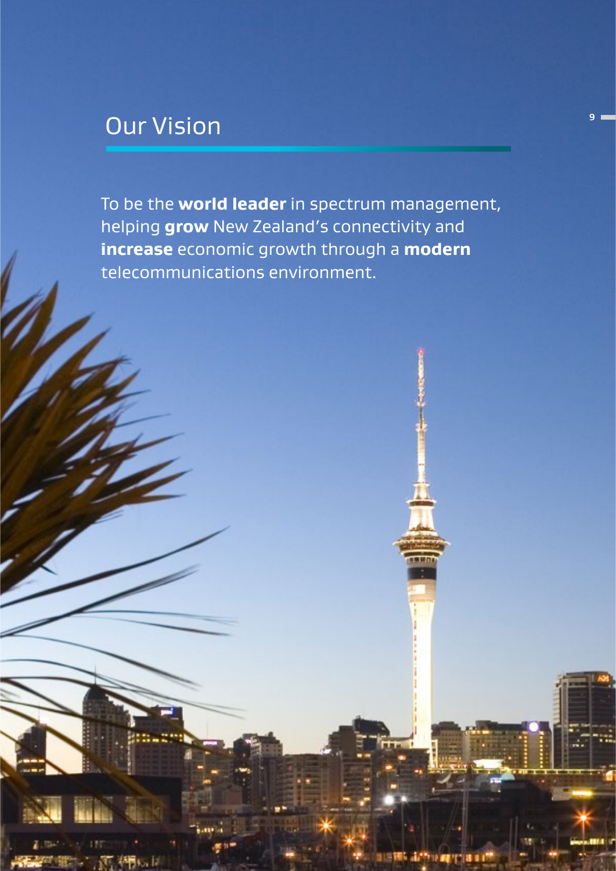# Our Vision

To be the **world leader** in spectrum management, helping **grow** New Zealand's connectivity and **increase** economic growth through a **modern** telecommunications environment.

**USBS ACTIVITY 18 LLC**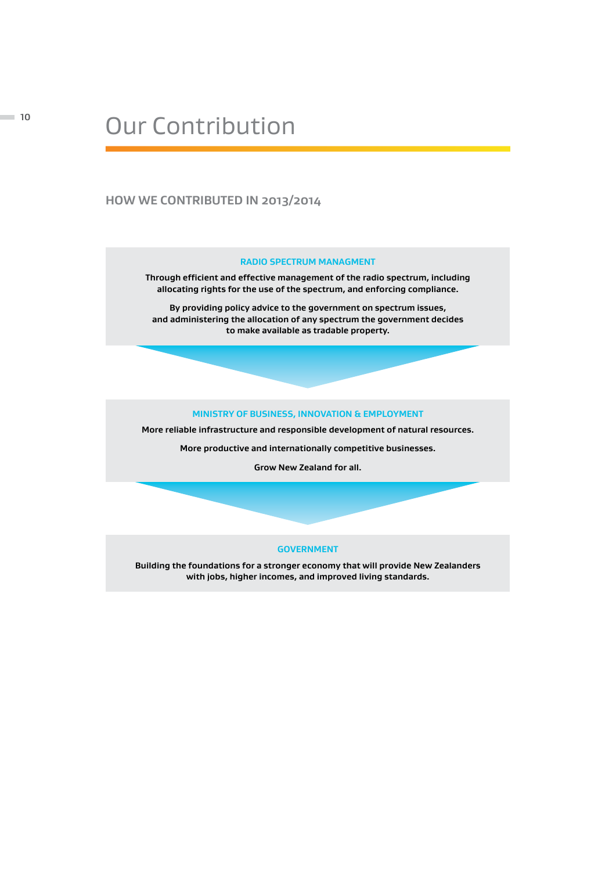# Our Contribution

# **HOW WE CONTRIBUTED IN 2013/2014**

#### **RADIO SPECTRUM MANAGMENT**

**Through efficient and effective management of the radio spectrum, including allocating rights for the use of the spectrum, and enforcing compliance.**

**By providing policy advice to the government on spectrum issues, and administering the allocation of any spectrum the government decides to make available as tradable property.**

#### **MINISTRY OF BUSINESS, INNOVATION & EMPLOYMENT**

**More reliable infrastructure and responsible development of natural resources.**

**More productive and internationally competitive businesses.**

**Grow New Zealand for all.**

### **GOVERNMENT**

**Building the foundations for a stronger economy that will provide New Zealanders with jobs, higher incomes, and improved living standards.**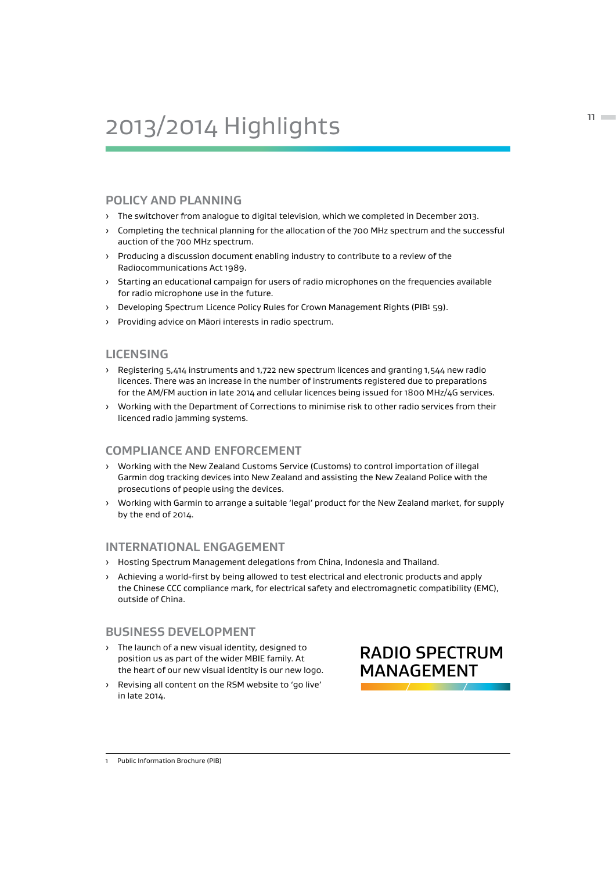# **POLICY AND PLANNING**

- › The switchover from analogue to digital television, which we completed in December 2013.
- › Completing the technical planning for the allocation of the 700 MHz spectrum and the successful auction of the 700 MHz spectrum.
- › Producing a discussion document enabling industry to contribute to a review of the Radiocommunications Act 1989.
- › Starting an educational campaign for users of radio microphones on the frequencies available for radio microphone use in the future.
- › Developing Spectrum Licence Policy Rules for Crown Management Rights (PIB1 59).
- › Providing advice on Māori interests in radio spectrum.

#### **LICENSING**

- › Registering 5,414 instruments and 1,722 new spectrum licences and granting 1,544 new radio licences. There was an increase in the number of instruments registered due to preparations for the AM/FM auction in late 2014 and cellular licences being issued for 1800 MHz/4G services.
- › Working with the Department of Corrections to minimise risk to other radio services from their licenced radio jamming systems.

# **COMPLIANCE AND ENFORCEMENT**

- › Working with the New Zealand Customs Service (Customs) to control importation of illegal Garmin dog tracking devices into New Zealand and assisting the New Zealand Police with the prosecutions of people using the devices.
- › Working with Garmin to arrange a suitable 'legal' product for the New Zealand market, for supply by the end of 2014.

### **INTERNATIONAL ENGAGEMENT**

- › Hosting Spectrum Management delegations from China, Indonesia and Thailand.
- › Achieving a world-first by being allowed to test electrical and electronic products and apply the Chinese CCC compliance mark, for electrical safety and electromagnetic compatibility (EMC), outside of China.

# **BUSINESS DEVELOPMENT**

- › The launch of a new visual identity, designed to position us as part of the wider MBIE family. At the heart of our new visual identity is our new logo.
- › Revising all content on the RSM website to 'go live' in late 2014.

# RADIO SPECTRUM MANAGEMENT

1 Public Information Brochure (PIB)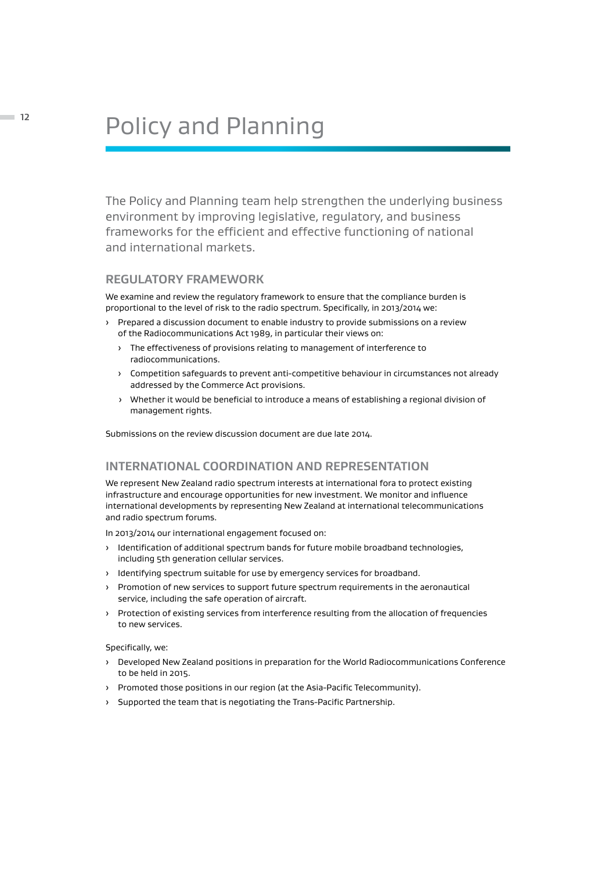# Policy and Planning

The Policy and Planning team help strengthen the underlying business environment by improving legislative, regulatory, and business frameworks for the efficient and effective functioning of national and international markets.

## **REGULATORY FRAMEWORK**

We examine and review the regulatory framework to ensure that the compliance burden is proportional to the level of risk to the radio spectrum. Specifically, in 2013/2014 we:

- Prepared a discussion document to enable industry to provide submissions on a review of the Radiocommunications Act 1989, in particular their views on:
	- › The effectiveness of provisions relating to management of interference to radiocommunications.
	- › Competition safeguards to prevent anti-competitive behaviour in circumstances not already addressed by the Commerce Act provisions.
	- › Whether it would be beneficial to introduce a means of establishing a regional division of management rights.

Submissions on the review discussion document are due late 2014.

### **INTERNATIONAL COORDINATION AND REPRESENTATION**

We represent New Zealand radio spectrum interests at international fora to protect existing infrastructure and encourage opportunities for new investment. We monitor and influence international developments by representing New Zealand at international telecommunications and radio spectrum forums.

In 2013/2014 our international engagement focused on:

- › Identification of additional spectrum bands for future mobile broadband technologies, including 5th generation cellular services.
- › Identifying spectrum suitable for use by emergency services for broadband.
- › Promotion of new services to support future spectrum requirements in the aeronautical service, including the safe operation of aircraft.
- › Protection of existing services from interference resulting from the allocation of frequencies to new services.

Specifically, we:

- › Developed New Zealand positions in preparation for the World Radiocommunications Conference to be held in 2015.
- › Promoted those positions in our region (at the Asia-Pacific Telecommunity).
- › Supported the team that is negotiating the Trans-Pacific Partnership.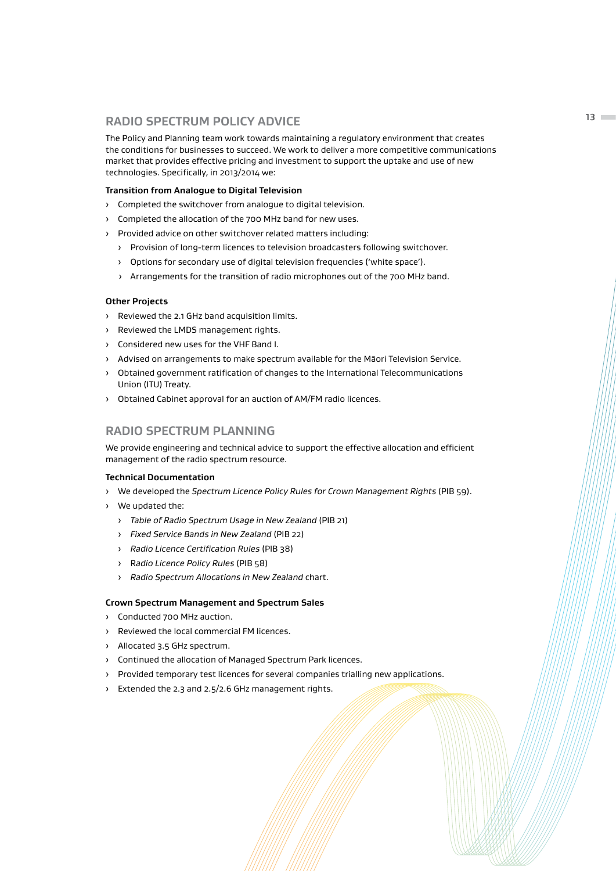# **RADIO SPECTRUM POLICY ADVICE**

The Policy and Planning team work towards maintaining a regulatory environment that creates the conditions for businesses to succeed. We work to deliver a more competitive communications market that provides effective pricing and investment to support the uptake and use of new technologies. Specifically, in 2013/2014 we:

#### **Transition from Analogue to Digital Television**

- › Completed the switchover from analogue to digital television.
- › Completed the allocation of the 700 MHz band for new uses.
- › Provided advice on other switchover related matters including:
	- › Provision of long-term licences to television broadcasters following switchover.
	- › Options for secondary use of digital television frequencies ('white space').
	- › Arrangements for the transition of radio microphones out of the 700 MHz band.

#### **Other Projects**

- › Reviewed the 2.1 GHz band acquisition limits.
- › Reviewed the LMDS management rights.
- › Considered new uses for the VHF Band I.
- › Advised on arrangements to make spectrum available for the Māori Television Service.
- › Obtained government ratification of changes to the International Telecommunications Union (ITU) Treaty.
- › Obtained Cabinet approval for an auction of AM/FM radio licences.

## **RADIO SPECTRUM PLANNING**

We provide engineering and technical advice to support the effective allocation and efficient management of the radio spectrum resource.

#### **Technical Documentation**

- › We developed the *Spectrum Licence Policy Rules for Crown Management Rights* (PIB 59).
- › We updated the:
	- › *Table of Radio Spectrum Usage in New Zealand* (PIB 21)
	- › *Fixed Service Bands in New Zealand* (PIB 22)
	- › *Radio Licence Certification Rules* (PIB 38)
	- › R*adio Licence Policy Rules* (PIB 58)
	- › *Radio Spectrum Allocations in New Zealand* chart.

#### **Crown Spectrum Management and Spectrum Sales**

- › Conducted 700 MHz auction.
- › Reviewed the local commercial FM licences.
- › Allocated 3.5 GHz spectrum.
- › Continued the allocation of Managed Spectrum Park licences.
- › Provided temporary test licences for several companies trialling new applications.
- › Extended the 2.3 and 2.5/2.6 GHz management rights.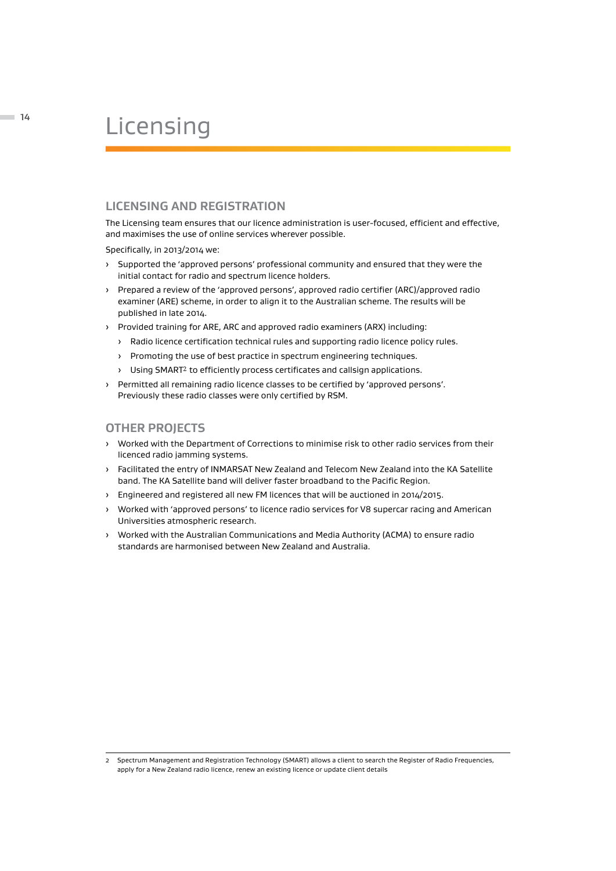# Licensing

### **LICENSING AND REGISTRATION**

The Licensing team ensures that our licence administration is user-focused, efficient and effective, and maximises the use of online services wherever possible.

Specifically, in 2013/2014 we:

- › Supported the 'approved persons' professional community and ensured that they were the initial contact for radio and spectrum licence holders.
- › Prepared a review of the 'approved persons', approved radio certifier (ARC)/approved radio examiner (ARE) scheme, in order to align it to the Australian scheme. The results will be published in late 2014.
- › Provided training for ARE, ARC and approved radio examiners (ARX) including:
	- › Radio licence certification technical rules and supporting radio licence policy rules.
	- › Promoting the use of best practice in spectrum engineering techniques.
	- › Using SMART2 to efficiently process certificates and callsign applications.
- › Permitted all remaining radio licence classes to be certified by 'approved persons'. Previously these radio classes were only certified by RSM.

### **OTHER PROJECTS**

- › Worked with the Department of Corrections to minimise risk to other radio services from their licenced radio jamming systems.
- › Facilitated the entry of INMARSAT New Zealand and Telecom New Zealand into the KA Satellite band. The KA Satellite band will deliver faster broadband to the Pacific Region.
- › Engineered and registered all new FM licences that will be auctioned in 2014/2015.
- › Worked with 'approved persons' to licence radio services for V8 supercar racing and American Universities atmospheric research.
- › Worked with the Australian Communications and Media Authority (ACMA) to ensure radio standards are harmonised between New Zealand and Australia.

<sup>2</sup> Spectrum Management and Registration Technology (SMART) allows a client to search the Register of Radio Frequencies, apply for a New Zealand radio licence, renew an existing licence or update client details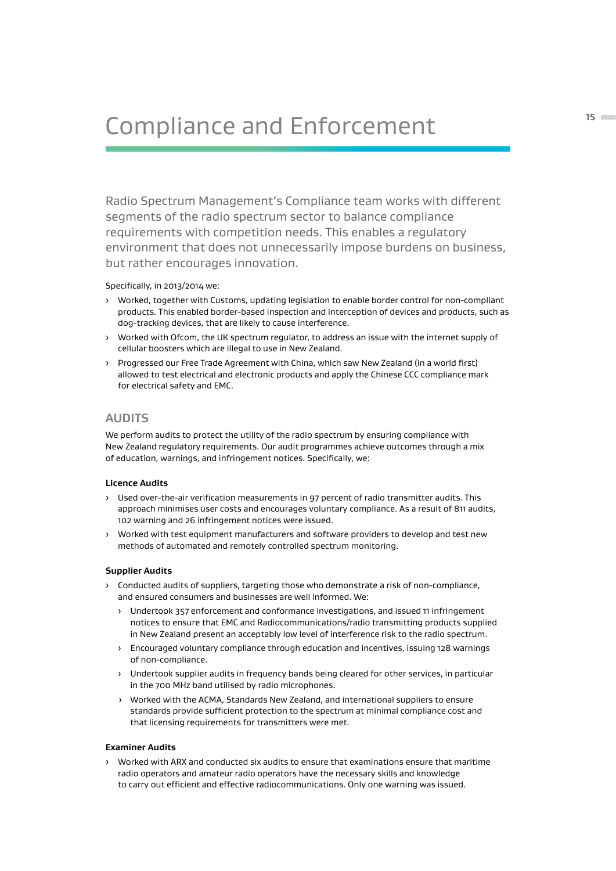# Compliance and Enforcement

Radio Spectrum Management's Compliance team works with different segments of the radio spectrum sector to balance compliance requirements with competition needs. This enables a regulatory environment that does not unnecessarily impose burdens on business, but rather encourages innovation.

#### Specifically, in 2013/2014 we:

- › Worked, together with Customs, updating legislation to enable border control for non-compliant products. This enabled border-based inspection and interception of devices and products, such as dog-tracking devices, that are likely to cause interference.
- › Worked with Ofcom, the UK spectrum regulator, to address an issue with the internet supply of cellular boosters which are illegal to use in New Zealand.
- › Progressed our Free Trade Agreement with China, which saw New Zealand (in a world first) allowed to test electrical and electronic products and apply the Chinese CCC compliance mark for electrical safety and EMC.

### **AUDITS**

We perform audits to protect the utility of the radio spectrum by ensuring compliance with New Zealand regulatory requirements. Our audit programmes achieve outcomes through a mix of education, warnings, and infringement notices. Specifically, we:

#### **Licence Audits**

- › Used over-the-air verification measurements in 97 percent of radio transmitter audits. This approach minimises user costs and encourages voluntary compliance. As a result of 811 audits, 102 warning and 26 infringement notices were issued.
- › Worked with test equipment manufacturers and software providers to develop and test new methods of automated and remotely controlled spectrum monitoring.

#### **Supplier Audits**

- › Conducted audits of suppliers, targeting those who demonstrate a risk of non-compliance, and ensured consumers and businesses are well informed. We:
	- › Undertook 357 enforcement and conformance investigations, and issued 11 infringement notices to ensure that EMC and Radiocommunications/radio transmitting products supplied in New Zealand present an acceptably low level of interference risk to the radio spectrum.
	- › Encouraged voluntary compliance through education and incentives, issuing 128 warnings of non-compliance.
	- › Undertook supplier audits in frequency bands being cleared for other services, in particular in the 700 MHz band utilised by radio microphones.
	- › Worked with the ACMA, Standards New Zealand, and international suppliers to ensure standards provide sufficient protection to the spectrum at minimal compliance cost and that licensing requirements for transmitters were met.

#### **Examiner Audits**

› Worked with ARX and conducted six audits to ensure that examinations ensure that maritime radio operators and amateur radio operators have the necessary skills and knowledge to carry out efficient and effective radiocommunications. Only one warning was issued.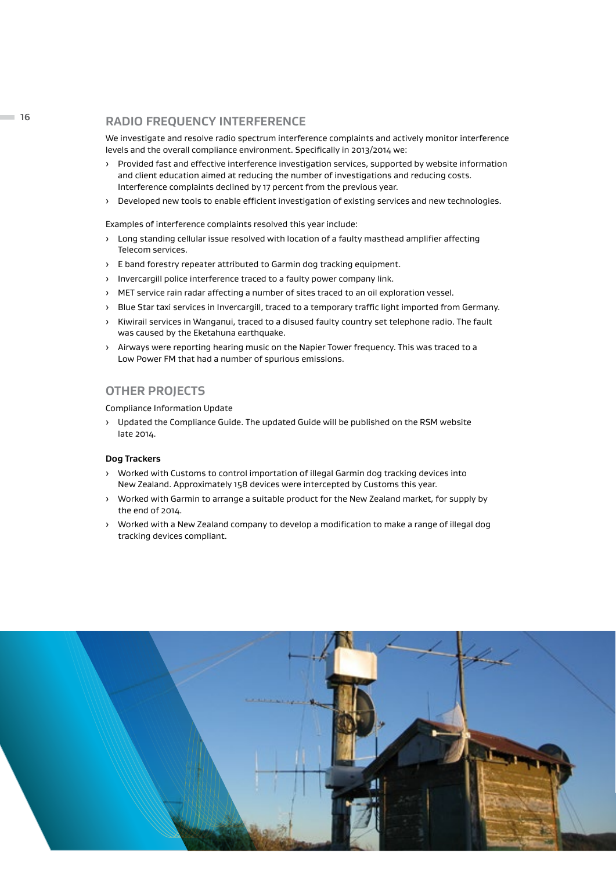# **RADIO FREQUENCY INTERFERENCE**

We investigate and resolve radio spectrum interference complaints and actively monitor interference levels and the overall compliance environment. Specifically in 2013/2014 we:

- › Provided fast and effective interference investigation services, supported by website information and client education aimed at reducing the number of investigations and reducing costs. Interference complaints declined by 17 percent from the previous year.
- › Developed new tools to enable efficient investigation of existing services and new technologies.

Examples of interference complaints resolved this year include:

- › Long standing cellular issue resolved with location of a faulty masthead amplifier affecting Telecom services.
- › E band forestry repeater attributed to Garmin dog tracking equipment.
- › Invercargill police interference traced to a faulty power company link.
- › MET service rain radar affecting a number of sites traced to an oil exploration vessel.
- Blue Star taxi services in Invercargill, traced to a temporary traffic light imported from Germany.
- › Kiwirail services in Wanganui, traced to a disused faulty country set telephone radio. The fault was caused by the Eketahuna earthquake.
- Airways were reporting hearing music on the Napier Tower frequency. This was traced to a Low Power FM that had a number of spurious emissions.

# **OTHER PROJECTS**

Compliance Information Update

› Updated the Compliance Guide. The updated Guide will be published on the RSM website late 2014.

#### **Dog Trackers**

- › Worked with Customs to control importation of illegal Garmin dog tracking devices into New Zealand. Approximately 158 devices were intercepted by Customs this year.
- › Worked with Garmin to arrange a suitable product for the New Zealand market, for supply by the end of 2014.
- › Worked with a New Zealand company to develop a modification to make a range of illegal dog tracking devices compliant.

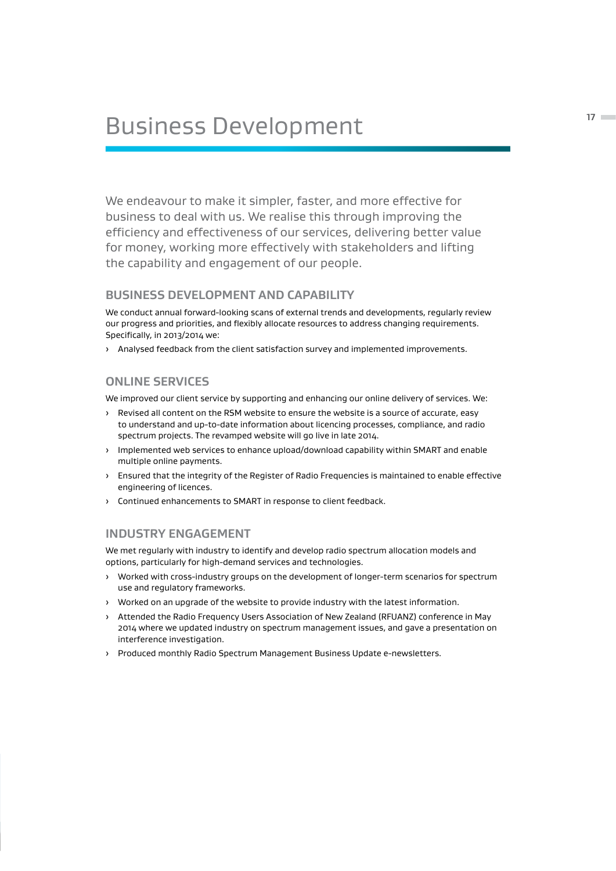# Business Development

We endeavour to make it simpler, faster, and more effective for business to deal with us. We realise this through improving the efficiency and effectiveness of our services, delivering better value for money, working more effectively with stakeholders and lifting the capability and engagement of our people.

# **BUSINESS DEVELOPMENT AND CAPABILITY**

We conduct annual forward-looking scans of external trends and developments, regularly review our progress and priorities, and flexibly allocate resources to address changing requirements. Specifically, in 2013/2014 we:

› Analysed feedback from the client satisfaction survey and implemented improvements.

# **ONLINE SERVICES**

We improved our client service by supporting and enhancing our online delivery of services. We:

- › Revised all content on the RSM website to ensure the website is a source of accurate, easy to understand and up-to-date information about licencing processes, compliance, and radio spectrum projects. The revamped website will go live in late 2014.
- › Implemented web services to enhance upload/download capability within SMART and enable multiple online payments.
- › Ensured that the integrity of the Register of Radio Frequencies is maintained to enable effective engineering of licences.
- › Continued enhancements to SMART in response to client feedback.

### **INDUSTRY ENGAGEMENT**

We met regularly with industry to identify and develop radio spectrum allocation models and options, particularly for high-demand services and technologies.

- › Worked with cross-industry groups on the development of longer-term scenarios for spectrum use and regulatory frameworks.
- › Worked on an upgrade of the website to provide industry with the latest information.
- › Attended the Radio Frequency Users Association of New Zealand (RFUANZ) conference in May 2014 where we updated industry on spectrum management issues, and gave a presentation on interference investigation.
- › Produced monthly Radio Spectrum Management Business Update e-newsletters.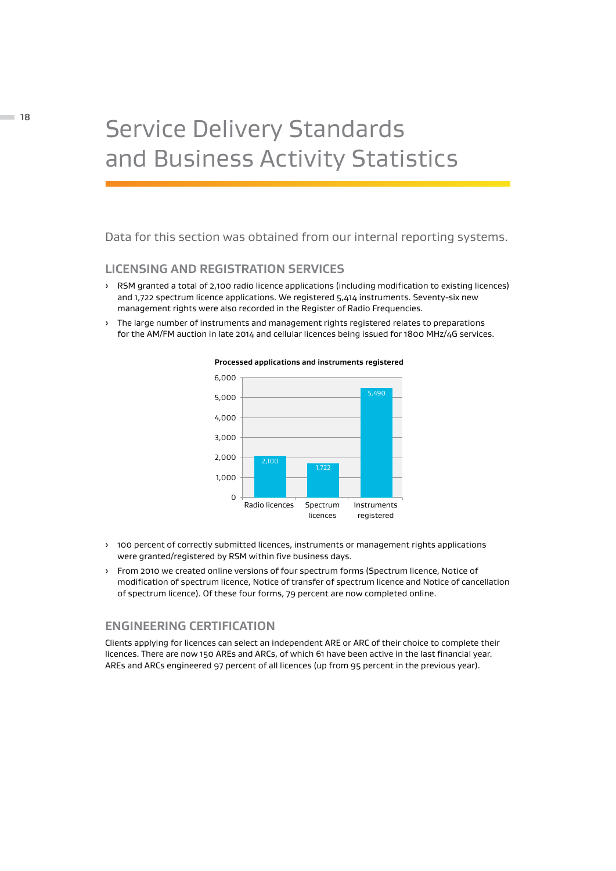# Service Delivery Standards and Business Activity Statistics

Data for this section was obtained from our internal reporting systems.

# **LICENSING AND REGISTRATION SERVICES**

- › RSM granted a total of 2,100 radio licence applications (including modification to existing licences) and 1,722 spectrum licence applications. We registered 5,414 instruments. Seventy-six new management rights were also recorded in the Register of Radio Frequencies.
- › The large number of instruments and management rights registered relates to preparations for the AM/FM auction in late 2014 and cellular licences being issued for 1800 MHz/4G services.



**Processed applications and instruments registered**

- › 100 percent of correctly submitted licences, instruments or management rights applications were granted/registered by RSM within five business days.
- › From 2010 we created online versions of four spectrum forms (Spectrum licence, Notice of modification of spectrum licence, Notice of transfer of spectrum licence and Notice of cancellation of spectrum licence). Of these four forms, 79 percent are now completed online.

# **ENGINEERING CERTIFICATION**

Clients applying for licences can select an independent ARE or ARC of their choice to complete their licences. There are now 150 AREs and ARCs, of which 61 have been active in the last financial year. AREs and ARCs engineered 97 percent of all licences (up from 95 percent in the previous year).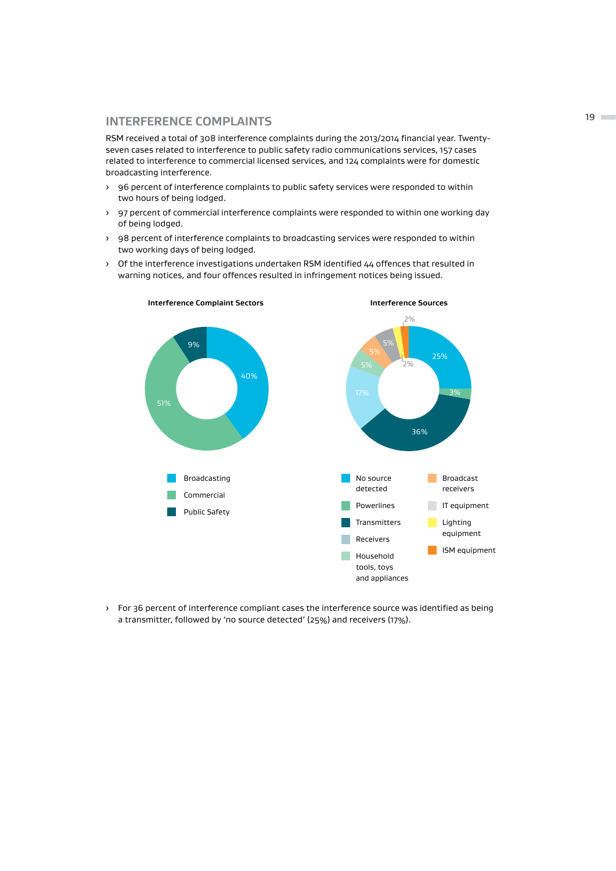# **INTERFERENCE COMPLAINTS**

RSM received a total of 308 interference complaints during the 2013/2014 financial year. Twentyseven cases related to interference to public safety radio communications services, 157 cases related to interference to commercial licensed services, and 124 complaints were for domestic broadcasting interference.

- › 96 percent of interference complaints to public safety services were responded to within two hours of being lodged.
- › 97 percent of commercial interference complaints were responded to within one working day of being lodged.
- › 98 percent of interference complaints to broadcasting services were responded to within two working days of being lodged.
- › Of the interference investigations undertaken RSM identified 44 offences that resulted in warning notices, and four offences resulted in infringement notices being issued.



› For 36 percent of interference compliant cases the interference source was identified as being a transmitter, followed by 'no source detected' (25%) and receivers (17%).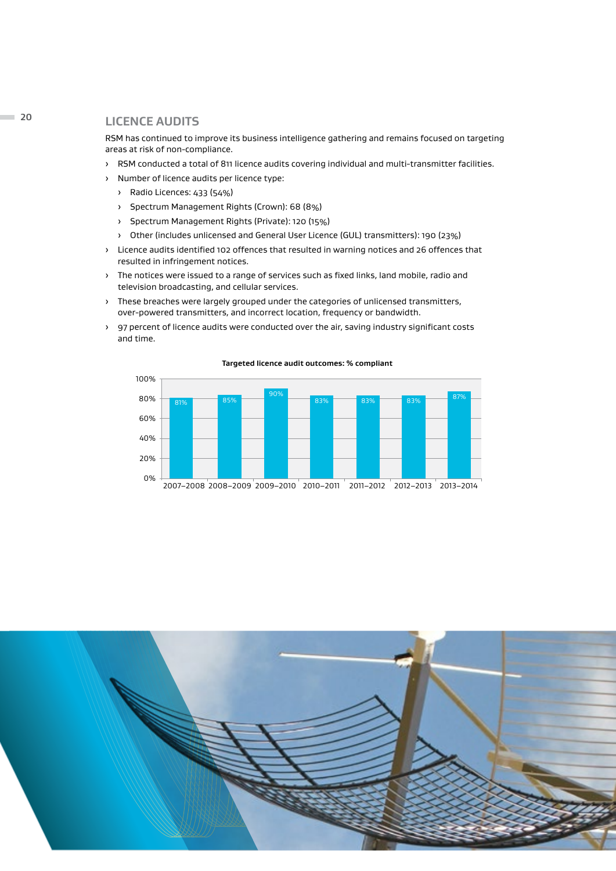# **LICENCE AUDITS**

RSM has continued to improve its business intelligence gathering and remains focused on targeting areas at risk of non-compliance.

- › RSM conducted a total of 811 licence audits covering individual and multi-transmitter facilities.
- › Number of licence audits per licence type:
	- › Radio Licences: 433 (54%)
	- › Spectrum Management Rights (Crown): 68 (8%)
	- › Spectrum Management Rights (Private): 120 (15%)
	- › Other (includes unlicensed and General User Licence (GUL) transmitters): 190 (23%)
- › Licence audits identified 102 offences that resulted in warning notices and 26 offences that resulted in infringement notices.
- › The notices were issued to a range of services such as fixed links, land mobile, radio and television broadcasting, and cellular services.
- › These breaches were largely grouped under the categories of unlicensed transmitters, over-powered transmitters, and incorrect location, frequency or bandwidth.
- › 97 percent of licence audits were conducted over the air, saving industry significant costs and time.



**Targeted licence audit outcomes: % compliant**

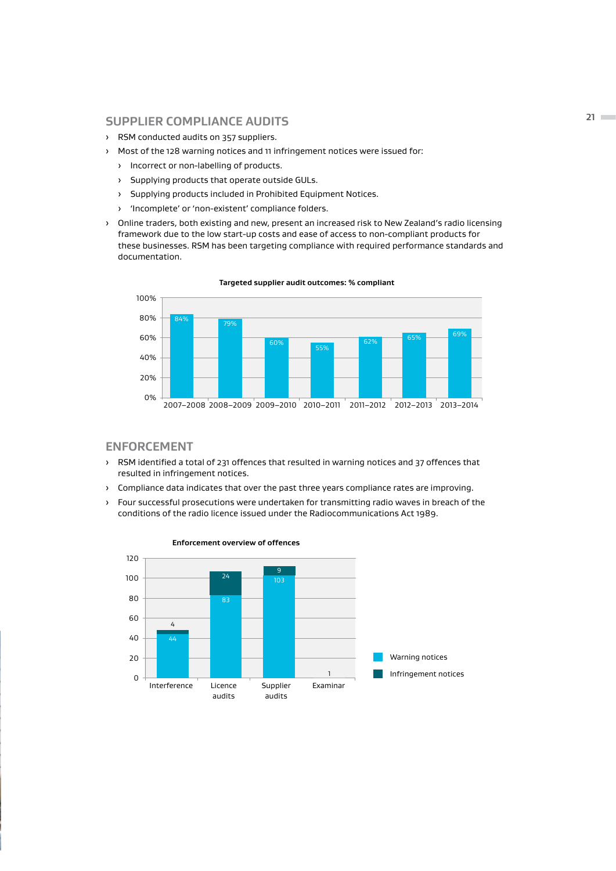# **SUPPLIER COMPLIANCE AUDITS**

- › RSM conducted audits on 357 suppliers.
- › Most of the 128 warning notices and 11 infringement notices were issued for:
	- › Incorrect or non-labelling of products.
	- › Supplying products that operate outside GULs.
	- › Supplying products included in Prohibited Equipment Notices.
	- › 'Incomplete' or 'non-existent' compliance folders.
- › Online traders, both existing and new, present an increased risk to New Zealand's radio licensing framework due to the low start-up costs and ease of access to non-compliant products for these businesses. RSM has been targeting compliance with required performance standards and documentation.



**Targeted supplier audit outcomes: % compliant**

#### **ENFORCEMENT**

- › RSM identified a total of 231 offences that resulted in warning notices and 37 offences that resulted in infringement notices.
- › Compliance data indicates that over the past three years compliance rates are improving.
- › Four successful prosecutions were undertaken for transmitting radio waves in breach of the conditions of the radio licence issued under the Radiocommunications Act 1989.



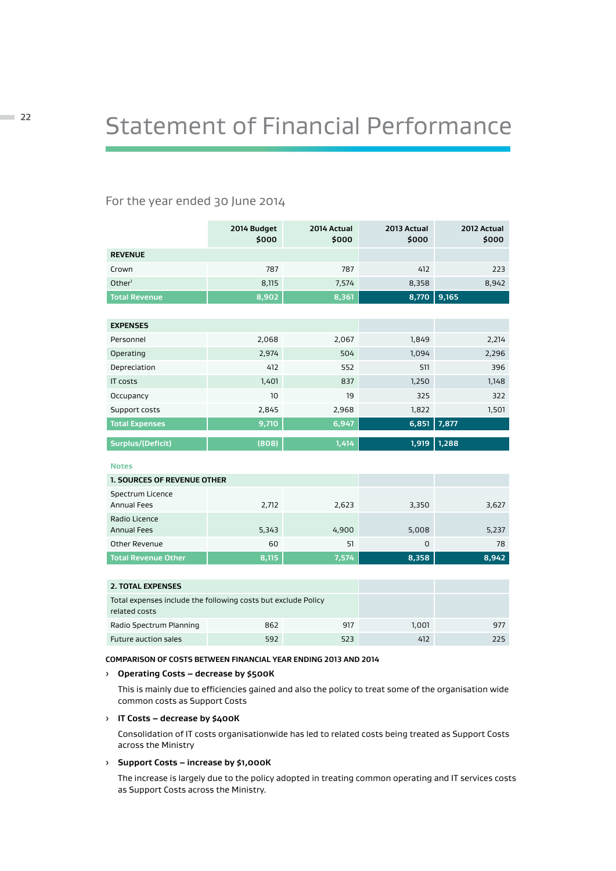# Statement of Financial Performance

# For the year ended 30 June 2014

|                                                                                | 2014 Budget<br>\$000 | 2014 Actual<br>\$000 | 2013 Actual<br>\$000 | 2012 Actual<br>\$000 |
|--------------------------------------------------------------------------------|----------------------|----------------------|----------------------|----------------------|
| <b>REVENUE</b>                                                                 |                      |                      |                      |                      |
| Crown                                                                          | 787                  | 787                  | 412                  | 223                  |
| Other <sup>1</sup>                                                             | 8,115                | 7,574                | 8,358                | 8,942                |
| <b>Total Revenue</b>                                                           | 8,902                | 8,361                | 8,770                | 9,165                |
|                                                                                |                      |                      |                      |                      |
| <b>EXPENSES</b>                                                                |                      |                      |                      |                      |
| Personnel                                                                      | 2,068                | 2,067                | 1,849                | 2,214                |
| Operating                                                                      | 2,974                | 504                  | 1,094                | 2,296                |
| Depreciation                                                                   | 412                  | 552                  | 511                  | 396                  |
| <b>IT costs</b>                                                                | 1,401                | 837                  | 1,250                | 1,148                |
| Occupancy                                                                      | 10                   | 19                   | 325                  | 322                  |
| Support costs                                                                  | 2,845                | 2,968                | 1,822                | 1,501                |
| <b>Total Expenses</b>                                                          | 9,710                | 6,947                | 6,851                | 7,877                |
| <b>Surplus/(Deficit)</b>                                                       | (808)                | 1,414                | 1,919                | 1,288                |
| <b>Notes</b>                                                                   |                      |                      |                      |                      |
| <b>1. SOURCES OF REVENUE OTHER</b>                                             |                      |                      |                      |                      |
| Spectrum Licence                                                               |                      |                      |                      |                      |
| <b>Annual Fees</b>                                                             | 2,712                | 2,623                | 3,350                | 3,627                |
| Radio Licence<br><b>Annual Fees</b>                                            | 5,343                | 4,900                | 5,008                | 5,237                |
| Other Revenue                                                                  | 60                   | 51                   | $\mathbf 0$          | 78                   |
| <b>Total Revenue Other</b>                                                     | 8,115                | 7,574                | 8,358                | 8,942                |
|                                                                                |                      |                      |                      |                      |
| <b>2. TOTAL EXPENSES</b>                                                       |                      |                      |                      |                      |
| Total expenses include the following costs but exclude Policy<br>related costs |                      |                      |                      |                      |
| Radio Spectrum Planning                                                        | 862                  | 917                  | 1,001                | 977                  |

#### **COMPARISON OF COSTS BETWEEN FINANCIAL YEAR ENDING 2013 AND 2014**

#### › **Operating Costs – decrease by \$500K**

This is mainly due to efficiencies gained and also the policy to treat some of the organisation wide common costs as Support Costs

Future auction sales **592** 523 412 412

#### › **IT Costs – decrease by \$400K**

Consolidation of IT costs organisationwide has led to related costs being treated as Support Costs across the Ministry

#### › **Support Costs – increase by \$1,000K**

The increase is largely due to the policy adopted in treating common operating and IT services costs as Support Costs across the Ministry.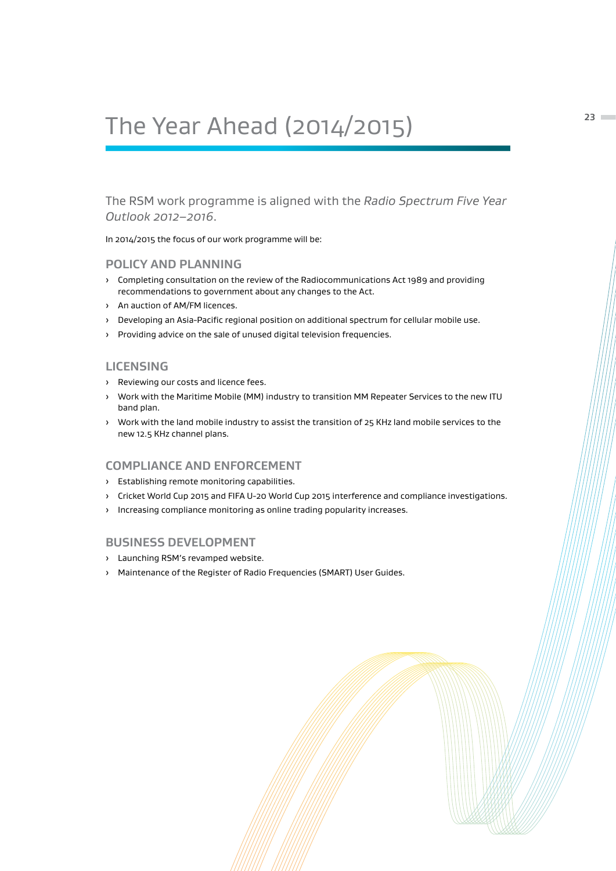# The Year Ahead (2014/2015)

The RSM work programme is aligned with the *Radio Spectrum Five Year Outlook 2012–2016*.

In 2014/2015 the focus of our work programme will be:

### **POLICY AND PLANNING**

- › Completing consultation on the review of the Radiocommunications Act 1989 and providing recommendations to government about any changes to the Act.
- › An auction of AM/FM licences.
- › Developing an Asia-Pacific regional position on additional spectrum for cellular mobile use.
- › Providing advice on the sale of unused digital television frequencies.

### **LICENSING**

- › Reviewing our costs and licence fees.
- › Work with the Maritime Mobile (MM) industry to transition MM Repeater Services to the new ITU band plan.
- › Work with the land mobile industry to assist the transition of 25 KHz land mobile services to the new 12.5 KHz channel plans.

### **COMPLIANCE AND ENFORCEMENT**

- › Establishing remote monitoring capabilities.
- › Cricket World Cup 2015 and FIFA U-20 World Cup 2015 interference and compliance investigations.
- › Increasing compliance monitoring as online trading popularity increases.

#### **BUSINESS DEVELOPMENT**

- › Launching RSM's revamped website.
- › Maintenance of the Register of Radio Frequencies (SMART) User Guides.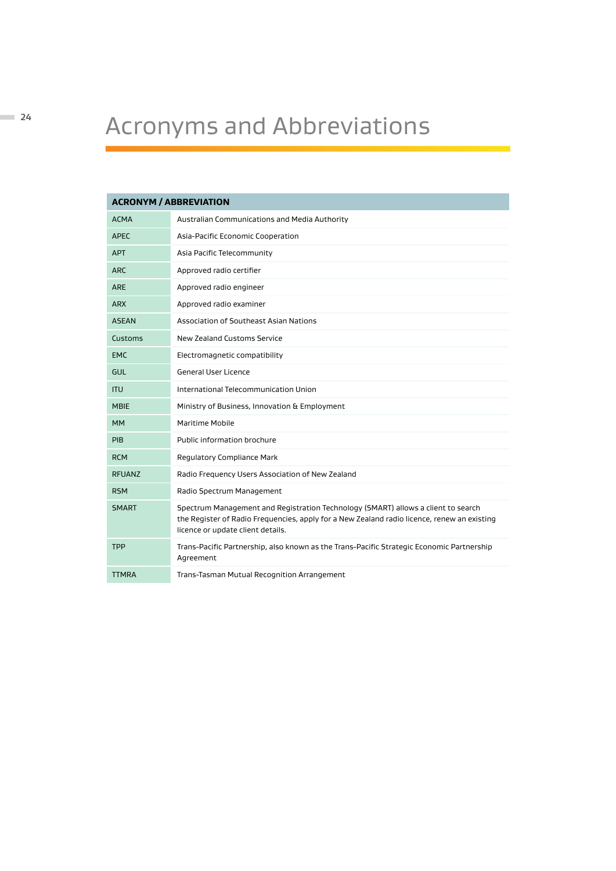# Acronyms and Abbreviations

| <b>ACRONYM / ABBREVIATION</b> |                                                                                                                                                                                                                       |  |
|-------------------------------|-----------------------------------------------------------------------------------------------------------------------------------------------------------------------------------------------------------------------|--|
| <b>ACMA</b>                   | Australian Communications and Media Authority                                                                                                                                                                         |  |
| <b>APEC</b>                   | Asia-Pacific Economic Cooperation                                                                                                                                                                                     |  |
| <b>APT</b>                    | Asia Pacific Telecommunity                                                                                                                                                                                            |  |
| <b>ARC</b>                    | Approved radio certifier                                                                                                                                                                                              |  |
| <b>ARE</b>                    | Approved radio engineer                                                                                                                                                                                               |  |
| <b>ARX</b>                    | Approved radio examiner                                                                                                                                                                                               |  |
| <b>ASEAN</b>                  | Association of Southeast Asian Nations                                                                                                                                                                                |  |
| Customs                       | New Zealand Customs Service                                                                                                                                                                                           |  |
| <b>EMC</b>                    | Electromagnetic compatibility                                                                                                                                                                                         |  |
| <b>GUL</b>                    | <b>General User Licence</b>                                                                                                                                                                                           |  |
| <b>ITU</b>                    | International Telecommunication Union                                                                                                                                                                                 |  |
| <b>MBIE</b>                   | Ministry of Business, Innovation & Employment                                                                                                                                                                         |  |
| <b>MM</b>                     | Maritime Mobile                                                                                                                                                                                                       |  |
| <b>PIB</b>                    | Public information brochure                                                                                                                                                                                           |  |
| <b>RCM</b>                    | Regulatory Compliance Mark                                                                                                                                                                                            |  |
| <b>RFUANZ</b>                 | Radio Frequency Users Association of New Zealand                                                                                                                                                                      |  |
| <b>RSM</b>                    | Radio Spectrum Management                                                                                                                                                                                             |  |
| <b>SMART</b>                  | Spectrum Management and Registration Technology (SMART) allows a client to search<br>the Register of Radio Frequencies, apply for a New Zealand radio licence, renew an existing<br>licence or update client details. |  |
| <b>TPP</b>                    | Trans-Pacific Partnership, also known as the Trans-Pacific Strategic Economic Partnership<br>Agreement                                                                                                                |  |
| <b>TTMRA</b>                  | Trans-Tasman Mutual Recognition Arrangement                                                                                                                                                                           |  |